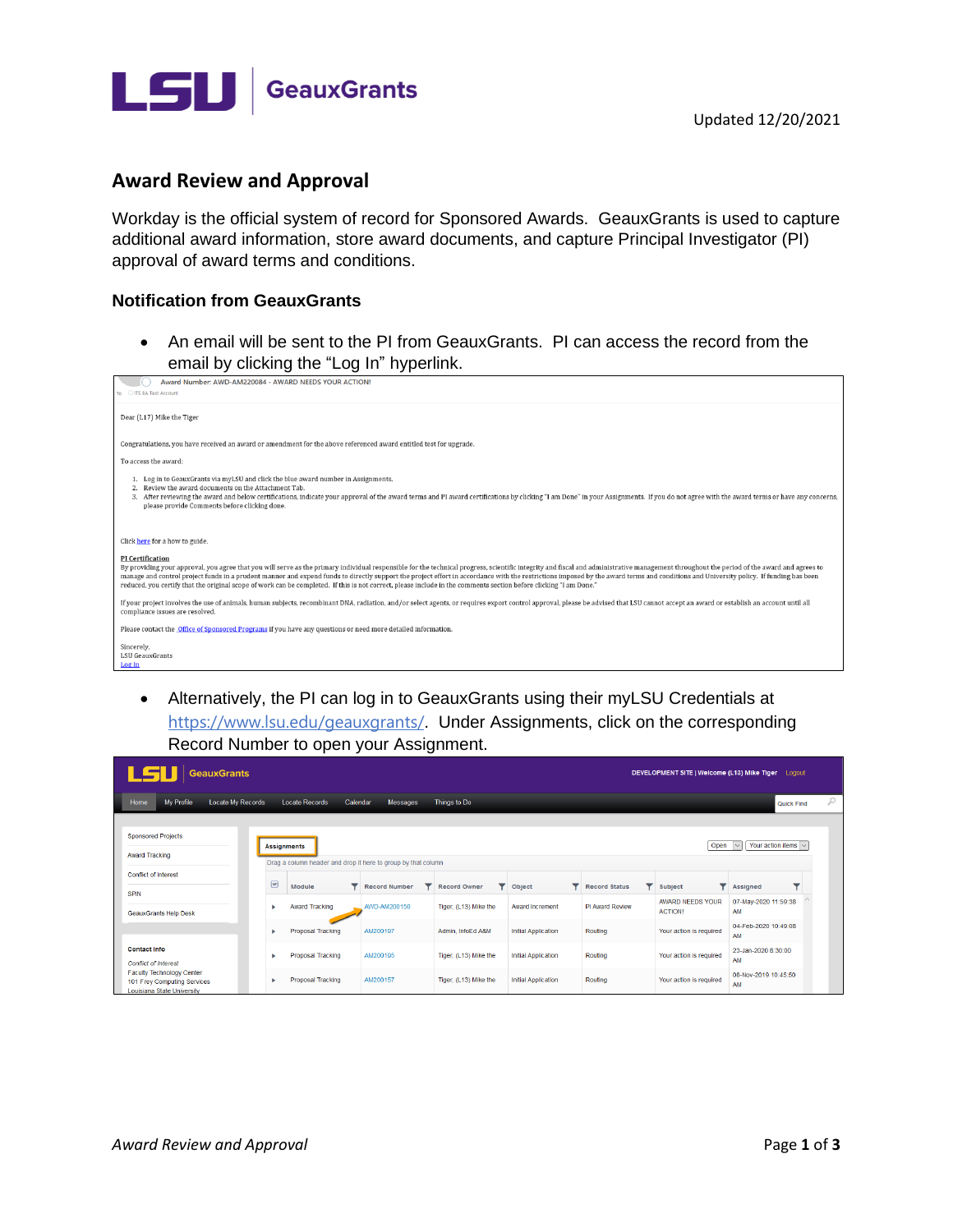



## **Award Review and Approval**

Workday is the official system of record for Sponsored Awards. GeauxGrants is used to capture additional award information, store award documents, and capture Principal Investigator (PI) approval of award terms and conditions.

## **Notification from GeauxGrants**

• An email will be sent to the PI from GeauxGrants. PI can access the record from the email by clicking the "Log In" hyperlink.



• Alternatively, the PI can log in to GeauxGrants using their myLSU Credentials at <https://www.lsu.edu/geauxgrants/>. Under Assignments, click on the corresponding Record Number to open your Assignment.

| 1 LSU<br><b>GeauxGrants</b>                                                                   |                      |                                                                                     |                      |                       |                            |                      |                                    | DEVELOPMENT SITE   Welcome (L13) Mike Tiger Logout |   |
|-----------------------------------------------------------------------------------------------|----------------------|-------------------------------------------------------------------------------------|----------------------|-----------------------|----------------------------|----------------------|------------------------------------|----------------------------------------------------|---|
| <b>My Profile</b><br>Locate My Records<br>Home                                                |                      | <b>Locate Records</b><br>Calendar                                                   | <b>Messages</b>      | Things to Do          |                            |                      |                                    | Quick Find                                         | Q |
| <b>Sponsored Projects</b><br><b>Award Tracking</b>                                            |                      | <b>Assignments</b><br>Drag a column header and drop it here to group by that column |                      |                       |                            |                      | Open                               | Your action items $\vert \vee \vert$               |   |
| <b>Conflict of Interest</b>                                                                   | $\boxed{\mathbf{v}}$ | Module                                                                              | <b>Record Number</b> | <b>Record Owner</b>   | Object                     | <b>Record Status</b> | Subject<br>▼                       | Assigned                                           |   |
| <b>SPIN</b><br><b>GeauxGrants Help Desk</b>                                                   | ٠                    | <b>Award Tracking</b>                                                               | AWD-AM200150         | Tiger, (L13) Mike the | <b>Award Increment</b>     | PI Award Review      | AWARD NEEDS YOUR<br><b>ACTION!</b> | 07-May-2020 11:59:38<br>AM                         |   |
|                                                                                               | ٠                    | <b>Proposal Tracking</b>                                                            | AM200197             | Admin. InfoEd A&M     | <b>Initial Application</b> | Routing              | Your action is required            | 04-Feb-2020 10:49:08<br>AM                         |   |
| <b>Contact Info</b><br><b>Conflict of Interest</b>                                            |                      | Proposal Tracking                                                                   | AM200195             | Tiger, (L13) Mike the | <b>Initial Application</b> | Routing              | Your action is required            | 23-Jan-2020 8:30:00<br>AM                          |   |
| <b>Faculty Technology Center</b><br>101 Frey Computing Services<br>Louisiana State University |                      | <b>Proposal Tracking</b>                                                            | AM200157             | Tiger, (L13) Mike the | <b>Initial Application</b> | Routing              | Your action is required            | 08-Nov-2019 10:45:50<br>AM                         |   |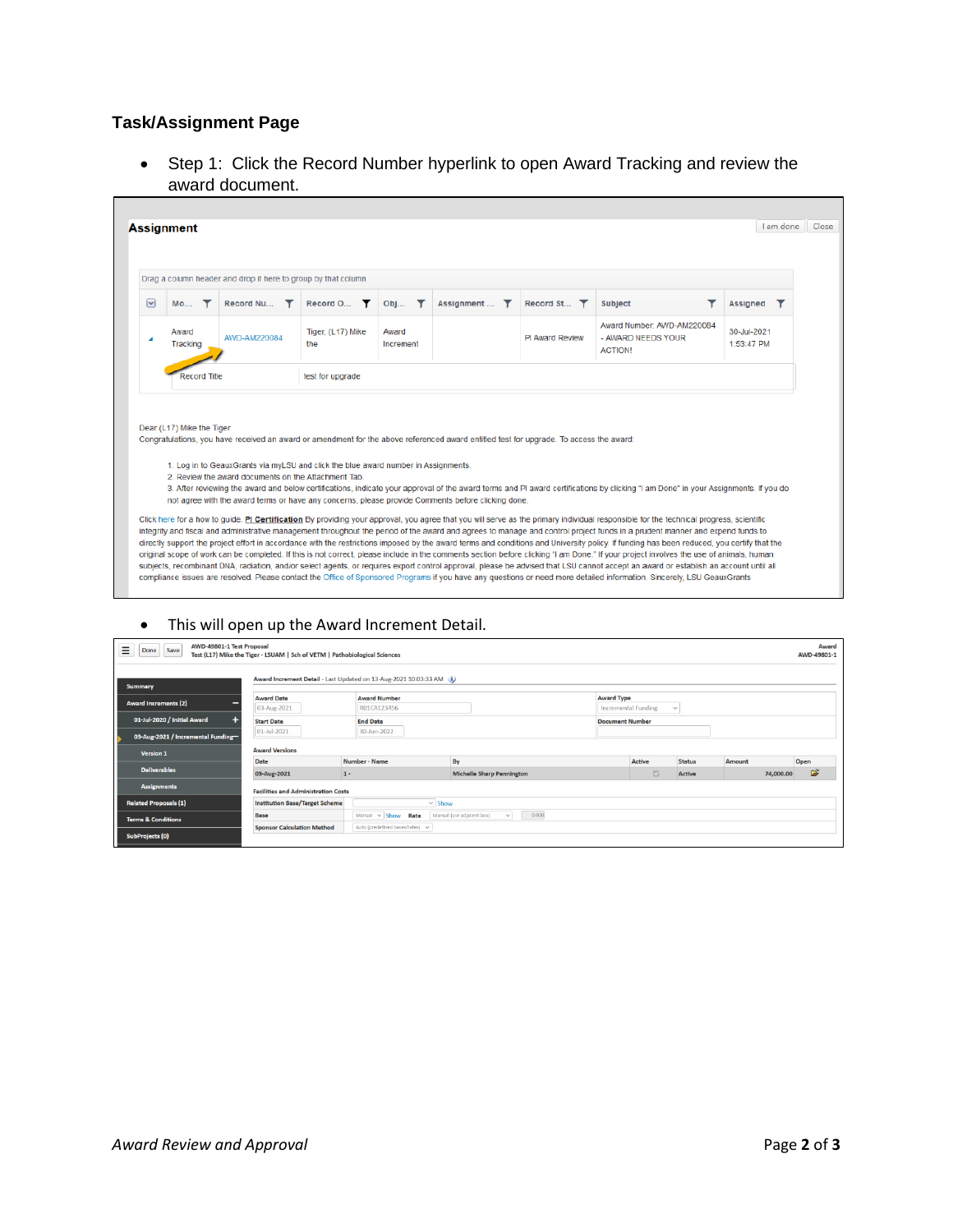## **Task/Assignment Page**

• Step 1: Click the Record Number hyperlink to open Award Tracking and review the award document.

|                          |                           |                                | Drag a column header and drop it here to group by that column                                                                                                                                                                                                                                                                                                                             |                    |                           |                                   |                                                                                                                                                                                                                                                                                                                                                                               |                           |
|--------------------------|---------------------------|--------------------------------|-------------------------------------------------------------------------------------------------------------------------------------------------------------------------------------------------------------------------------------------------------------------------------------------------------------------------------------------------------------------------------------------|--------------------|---------------------------|-----------------------------------|-------------------------------------------------------------------------------------------------------------------------------------------------------------------------------------------------------------------------------------------------------------------------------------------------------------------------------------------------------------------------------|---------------------------|
| $\vert \mathbf{v} \vert$ | <b>Mo</b><br>Y            | Record Nu $\blacktriangledown$ | Record O <b>T</b>                                                                                                                                                                                                                                                                                                                                                                         | Obj<br>Y           | Assignment<br>$\mathbf r$ | Record St $\overline{\mathbf{T}}$ | <b>Subject</b>                                                                                                                                                                                                                                                                                                                                                                | Assianed                  |
|                          | Award<br>Tracking         | AWD-AM220084                   | Tiger, (L17) Mike<br>the                                                                                                                                                                                                                                                                                                                                                                  | Award<br>Increment |                           | <b>PI Award Review</b>            | Award Number: AWD-AM220084<br>- AWARD NEEDS YOUR<br><b>ACTION!</b>                                                                                                                                                                                                                                                                                                            | 30-Jul-2021<br>1:53:47 PM |
|                          | <b>Record Title</b>       |                                | test for upgrade                                                                                                                                                                                                                                                                                                                                                                          |                    |                           |                                   |                                                                                                                                                                                                                                                                                                                                                                               |                           |
|                          |                           |                                |                                                                                                                                                                                                                                                                                                                                                                                           |                    |                           |                                   |                                                                                                                                                                                                                                                                                                                                                                               |                           |
|                          | Dear (L17) Mike the Tiger |                                | Congratulations, you have received an award or amendment for the above referenced award entitled test for upgrade. To access the award:<br>1. Log in to GeauxGrants via myLSU and click the blue award number in Assignments.<br>2 Review the award documents on the Attachment Tab<br>not agree with the award terms or have any concerns, please provide Comments before clicking done. |                    |                           |                                   | 3. After reviewing the award and below certifications, indicate your approval of the award terms and PI award certifications by clicking "I am Done" in your Assignments. If you do<br>Click here for a how to guide. PI Certification By providing your approval, you agree that you will serve as the primary individual responsible for the technical progress, scientific |                           |

## • This will open up the Award Increment Detail.

| AWD-49801-1 Test Proposal<br>Ξ<br>Save<br>Done  | Test (L17) Mike the Tiger - LSUAM   Sch of VETM   Pathobiological Sciences |                                                                      |                                                    |                        |                         |               |           | Award<br>AWD-49801-1 |
|-------------------------------------------------|----------------------------------------------------------------------------|----------------------------------------------------------------------|----------------------------------------------------|------------------------|-------------------------|---------------|-----------|----------------------|
| <b>Summary</b>                                  |                                                                            | Award Increment Detail - Last Updated on 13-Aug-2021 10:03:33 AM (i) |                                                    |                        |                         |               |           |                      |
| <b>Award Increments (2)</b><br>=                | <b>Award Date</b><br>03-Aug-2021                                           | <b>Award Number</b><br>R01CA123456                                   |                                                    | <b>Award Type</b>      | Incremental Funding     | $\checkmark$  |           |                      |
| 01-Jul-2020 / Initial Award<br>н.               | <b>Start Date</b><br>01-Jul-2021                                           | <b>End Date</b><br>30-Jun-2022                                       |                                                    | <b>Document Number</b> |                         |               |           |                      |
| 03-Aug-2021 / Incremental Funding-<br>Version 1 | <b>Award Versions</b>                                                      |                                                                      |                                                    |                        |                         |               |           |                      |
|                                                 | Date                                                                       | Number - Name                                                        | By                                                 |                        | Active                  | <b>Status</b> | Amount    | Open                 |
| <b>Deliverables</b>                             | 03-Aug-2021                                                                | $1 -$                                                                | <b>Michelle Sharp Pennington</b>                   |                        | $\overline{\mathbb{Z}}$ | <b>Active</b> | 74,000.00 | É                    |
| <b>Assignments</b>                              | <b>Facilities and Administration Costs</b>                                 |                                                                      |                                                    |                        |                         |               |           |                      |
| <b>Related Proposals (1)</b>                    | <b>Institution Base/Target Scheme</b>                                      | $\vee$ Show                                                          |                                                    |                        |                         |               |           |                      |
| <b>Terms &amp; Conditions</b>                   | <b>Base</b>                                                                | Manual $\vee$ Show Rate                                              | 0.000<br>Manual (use adjacent box)<br>$\checkmark$ |                        |                         |               |           |                      |
| SubProjects (0)                                 | <b>Sponsor Calculation Method</b>                                          | Auto (predefined bases/rates) v                                      |                                                    |                        |                         |               |           |                      |

h